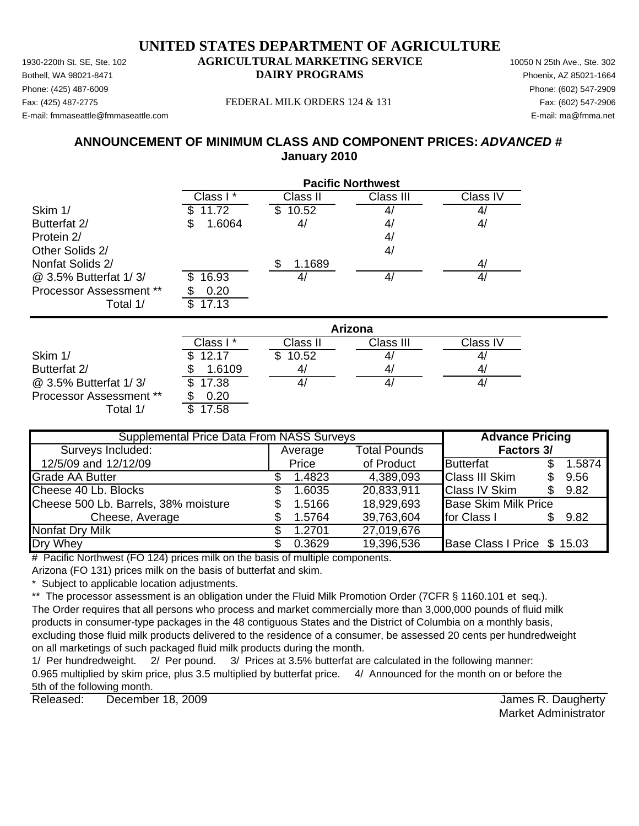Phone: (425) 487-6009 Phone: (602) 547-2909 E-mail: fmmaseattle@fmmaseattle.com E-mail: ma@fmma.net

### Fax: (425) 487-2775 FEDERAL MILK ORDERS 124 & 131 Fax: (602) 547-2906

# **ANNOUNCEMENT OF MINIMUM CLASS AND COMPONENT PRICES:** *ADVANCED #* **January 2010**

|                         | <b>Pacific Northwest</b> |              |                   |                   |  |  |
|-------------------------|--------------------------|--------------|-------------------|-------------------|--|--|
|                         | Class I*                 | Class II     | Class III         | Class IV          |  |  |
| Skim 1/                 | 11.72                    | 10.52<br>\$  | 4,                | $\mathcal{A}_{l}$ |  |  |
| Butterfat 2/            | 1.6064<br>\$             | 4/           | 4 <sub>l</sub>    | 4/                |  |  |
| Protein 2/              |                          |              | 4/                |                   |  |  |
| Other Solids 2/         |                          |              | 4/                |                   |  |  |
| Nonfat Solids 2/        |                          | \$<br>1.1689 |                   | 4/                |  |  |
| @ 3.5% Butterfat 1/3/   | 16.93<br>Ж.              | 4/           | 4 <sub>l</sub>    | 4/                |  |  |
| Processor Assessment ** | 0.20                     |              |                   |                   |  |  |
| Total 1/                | 17.13<br>\$              |              |                   |                   |  |  |
|                         |                          |              | Arizona           |                   |  |  |
|                         | Class I*                 | Class II     | Class III         | Class IV          |  |  |
| Skim 1/                 | 12.17                    | 10.52<br>\$. | $\mathcal{A}_{l}$ | $\mathcal{A}_{l}$ |  |  |
| Butterfat 2/            | 1.6109<br>\$             | 4/           | 41                | 4/                |  |  |

 $\omega$  3.5% Butterfat 1/3/  $\sqrt{3}$  17.38  $\sqrt{4}$  4/  $\sqrt{4}$  4/  $\sqrt{4}$  4/ Processor Assessment \*\* \$ 0.20 Total 1/

| <b>Supplemental Price Data From NASS Surveys</b> | <b>Advance Pricing</b> |                     |                             |  |        |
|--------------------------------------------------|------------------------|---------------------|-----------------------------|--|--------|
| Surveys Included:                                | Average                | <b>Total Pounds</b> | Factors 3/                  |  |        |
| 12/5/09 and 12/12/09                             | Price                  | of Product          | <b>Butterfat</b>            |  | 1.5874 |
| <b>Grade AA Butter</b>                           | 1.4823                 | 4,389,093           | <b>Class III Skim</b>       |  | 9.56   |
| Cheese 40 Lb. Blocks                             | 1.6035                 | 20,833,911          | <b>Class IV Skim</b>        |  | 9.82   |
| Cheese 500 Lb. Barrels, 38% moisture             | 1.5166                 | 18,929,693          | <b>Base Skim Milk Price</b> |  |        |
| Cheese, Average                                  | 1.5764                 | 39,763,604          | for Class I                 |  | 9.82   |
| <b>Nonfat Dry Milk</b>                           | 1.2701                 | 27,019,676          |                             |  |        |
| Dry Whey                                         | 0.3629                 | 19,396,536          | Base Class I Price \$ 15.03 |  |        |

 $#$  Pacific Northwest (FO 124) prices milk on the basis of multiple components.

Arizona (FO 131) prices milk on the basis of butterfat and skim.

Subject to applicable location adjustments.

\*\* The processor assessment is an obligation under the Fluid Milk Promotion Order (7CFR § 1160.101 et seq.).

The Order requires that all persons who process and market commercially more than 3,000,000 pounds of fluid milk products in consumer-type packages in the 48 contiguous States and the District of Columbia on a monthly basis, excluding those fluid milk products delivered to the residence of a consumer, be assessed 20 cents per hundredweight on all marketings of such packaged fluid milk products during the month.

1/ Per hundredweight. 2/ Per pound. 3/ Prices at 3.5% butterfat are calculated in the following manner: 0.965 multiplied by skim price, plus 3.5 multiplied by butterfat price. 4/ Announced for the month on or before the 5th of the following month.

Released: December 18, 2009 **December 18, 2009** James R. Daugherty December 18, 2009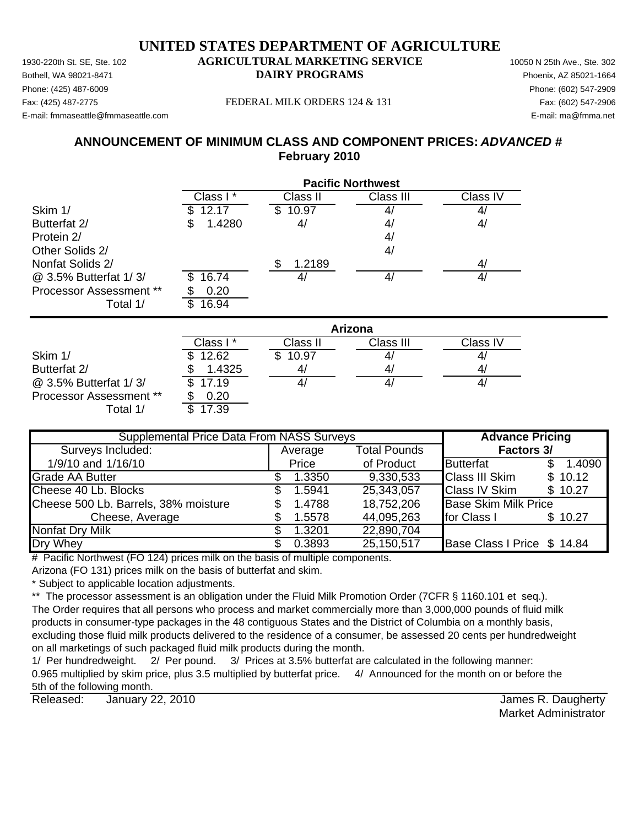Phone: (425) 487-6009 Phone: (602) 547-2909 E-mail: fmmaseattle@fmmaseattle.com E-mail: ma@fmma.net

### Fax: (425) 487-2775 FEDERAL MILK ORDERS 124 & 131 Fax: (602) 547-2906

# **ANNOUNCEMENT OF MINIMUM CLASS AND COMPONENT PRICES:** *ADVANCED #* **February 2010**

|                                | <b>Pacific Northwest</b> |              |                |                |  |  |
|--------------------------------|--------------------------|--------------|----------------|----------------|--|--|
|                                | Class I*                 | Class II     | Class III      | Class IV       |  |  |
| Skim 1/                        | 12.17                    | 10.97<br>\$  | 4,             | 4,             |  |  |
| Butterfat 2/                   | 1.4280<br>SБ             | 4/           | 4 <sub>l</sub> | 4/             |  |  |
| Protein 2/                     |                          |              | 4 <sub>l</sub> |                |  |  |
| Other Solids 2/                |                          |              | 4/             |                |  |  |
| Nonfat Solids 2/               |                          | \$<br>1.2189 |                | 4/             |  |  |
| @ 3.5% Butterfat 1/3/          | 16.74                    | 4/           | 4/             | 4/             |  |  |
| <b>Processor Assessment **</b> | 0.20                     |              |                |                |  |  |
| Total 1/                       | 16.94<br>\$              |              |                |                |  |  |
|                                |                          |              | Arizona        |                |  |  |
|                                | Class I*                 | Class II     | Class III      | Class IV       |  |  |
| Skim 1/                        | 12.62                    | \$10.97      | 4 <sub>l</sub> | 4 <sub>l</sub> |  |  |
| Butterfat 2/                   | 1.4325<br>\$             | 4/           | 41             | 4,             |  |  |

 $\omega$  3.5% Butterfat 1/3/  $\sqrt{3}$  17.19  $\sqrt{4}$  4/  $\sqrt{4}$  4/  $\sqrt{4}$  4/ Processor Assessment \*\* \$ 0.20

Total  $1/$   $\overline{\text{I}39}$ 

Average Total Pounds 1/9/10 and 1/16/10 **Access 2.1-4090 Price of Product Butterfat** 5 1.4090 Grade AA Butter 1.3350 \$ 1.3350 9,330,533 Class III Skim \$ 10.12 Cheese 40 Lb. Blocks \$ 1.5941 25,343,057 Class IV Skim \$ 10.27 Cheese 500 Lb. Barrels, 38% moisture  $\qquad \qquad$  \$ 1.4788 18,752,206 Base Skim Milk Price Cheese, Average  $$ 1.5578$   $44,095,263$  for Class I \$ 10.27 Nonfat Dry Milk  $$ 1.3201 22,890,704$ Dry Whey **6.3893 6.3893 25,150,517 Base Class I Price \$ 14.84 Supplemental Price Data From NASS Surveys The Advance Pricing** Surveys Included: **Factors 3/**

# Pacific Northwest (FO 124) prices milk on the basis of multiple components.

Arizona (FO 131) prices milk on the basis of butterfat and skim.

\* Subject to applicable location adjustments.

\*\* The processor assessment is an obligation under the Fluid Milk Promotion Order (7CFR § 1160.101 et seq.).

The Order requires that all persons who process and market commercially more than 3,000,000 pounds of fluid milk products in consumer-type packages in the 48 contiguous States and the District of Columbia on a monthly basis, excluding those fluid milk products delivered to the residence of a consumer, be assessed 20 cents per hundredweight on all marketings of such packaged fluid milk products during the month.

1/ Per hundredweight. 2/ Per pound. 3/ Prices at 3.5% butterfat are calculated in the following manner: 0.965 multiplied by skim price, plus 3.5 multiplied by butterfat price. 4/ Announced for the month on or before the 5th of the following month.

Released: January 22, 2010 **Solution Contract Contract Contract Contract Contract Contract Contract Contract Contract Contract Contract Contract Contract Contract Contract Contract Contract Contract Contract Contract Contr** January 22, 2010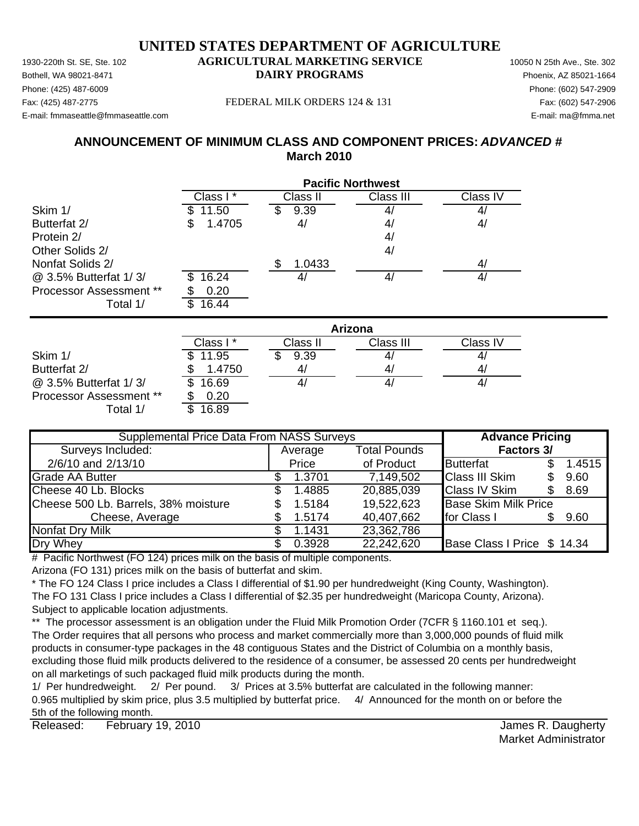Phone: (425) 487-6009 Phone: (602) 547-2909 E-mail: fmmaseattle@fmmaseattle.com E-mail: ma@fmma.net

### Fax: (425) 487-2775 FEDERAL MILK ORDERS 124 & 131 Fax: (602) 547-2906

# **ANNOUNCEMENT OF MINIMUM CLASS AND COMPONENT PRICES:** *ADVANCED #* **March 2010**

|                         |              | <b>Pacific Northwest</b> |                |                |  |  |  |  |  |  |
|-------------------------|--------------|--------------------------|----------------|----------------|--|--|--|--|--|--|
|                         | Class I*     | Class II                 | Class III      | Class IV       |  |  |  |  |  |  |
| Skim 1/                 | 11.50        | 9.39                     | 4,             | 4/             |  |  |  |  |  |  |
| Butterfat 2/            | 1.4705<br>\$ | 4/                       | 4,             | 4/             |  |  |  |  |  |  |
| Protein 2/              |              |                          | 4/             |                |  |  |  |  |  |  |
| Other Solids 2/         |              |                          | 4/             |                |  |  |  |  |  |  |
| Nonfat Solids 2/        |              | 1.0433<br>\$             |                | 4/             |  |  |  |  |  |  |
| @ 3.5% Butterfat 1/3/   | 16.24<br>\$  | 4/                       | 4/             | 4/             |  |  |  |  |  |  |
| Processor Assessment ** | 0.20         |                          |                |                |  |  |  |  |  |  |
| Total 1/                | 16.44<br>\$  |                          |                |                |  |  |  |  |  |  |
|                         |              |                          | <b>Arizona</b> |                |  |  |  |  |  |  |
|                         | Class I*     | Class II                 | Class III      | Class IV       |  |  |  |  |  |  |
| Skim 1/                 | 11.95<br>\$  | 9.39                     | 4,             | 4/             |  |  |  |  |  |  |
| $P_{1}$ $(1 - 1 - 1)$   | 1.1750       | $\overline{ }$           | $\overline{ }$ | $\overline{ }$ |  |  |  |  |  |  |

|                                | Class I * | Class II | Class III | Class IV |
|--------------------------------|-----------|----------|-----------|----------|
| Skim 1/                        | \$11.95   | 9.39     | 4         |          |
| Butterfat 2/                   | 1.4750    | 41       | 4         | 4/       |
| @ 3.5% Butterfat 1/3/          | \$16.69   |          | 4,        | 4/       |
| <b>Processor Assessment **</b> | 0.20      |          |           |          |
| <sup>-</sup> otal 1            | 16.89     |          |           |          |

| <b>Supplemental Price Data From NASS Surveys</b> | <b>Advance Pricing</b> |                     |                             |        |
|--------------------------------------------------|------------------------|---------------------|-----------------------------|--------|
| Surveys Included:                                | Average                | <b>Total Pounds</b> | <b>Factors 3/</b>           |        |
| 2/6/10 and 2/13/10                               | Price                  | of Product          | Butterfat                   | 1.4515 |
| <b>Grade AA Butter</b>                           | 1.3701                 | 7,149,502           | <b>Class III Skim</b>       | 9.60   |
| Cheese 40 Lb. Blocks                             | 1.4885                 | 20,885,039          | <b>Class IV Skim</b>        | 8.69   |
| Cheese 500 Lb. Barrels, 38% moisture             | 1.5184                 | 19,522,623          | <b>Base Skim Milk Price</b> |        |
| Cheese, Average                                  | 1.5174                 | 40,407,662          | for Class I                 | 9.60   |
| Nonfat Dry Milk                                  | 1.1431                 | 23,362,786          |                             |        |
| Dry Whey                                         | 0.3928                 | 22,242,620          | Base Class I Price \$ 14.34 |        |

 $#$  Pacific Northwest (FO 124) prices milk on the basis of multiple components.

Arizona (FO 131) prices milk on the basis of butterfat and skim.

\* The FO 124 Class I price includes a Class I differential of \$1.90 per hundredweight (King County, Washington). The FO 131 Class I price includes a Class I differential of \$2.35 per hundredweight (Maricopa County, Arizona). Subject to applicable location adjustments.

\*\* The processor assessment is an obligation under the Fluid Milk Promotion Order (7CFR § 1160.101 et seq.). The Order requires that all persons who process and market commercially more than 3,000,000 pounds of fluid milk products in consumer-type packages in the 48 contiguous States and the District of Columbia on a monthly basis, excluding those fluid milk products delivered to the residence of a consumer, be assessed 20 cents per hundredweight on all marketings of such packaged fluid milk products during the month.

1/ Per hundredweight. 2/ Per pound. 3/ Prices at 3.5% butterfat are calculated in the following manner: 0.965 multiplied by skim price, plus 3.5 multiplied by butterfat price. 4/ Announced for the month on or before the 5th of the following month.

Released: February 19, 2010 **Contract Contract Contract Contract Contract Contract Contract Contract Contract Contract Contract Contract Contract Contract Contract Contract Contract Contract Contract Contract Contract Cont** February 19, 2010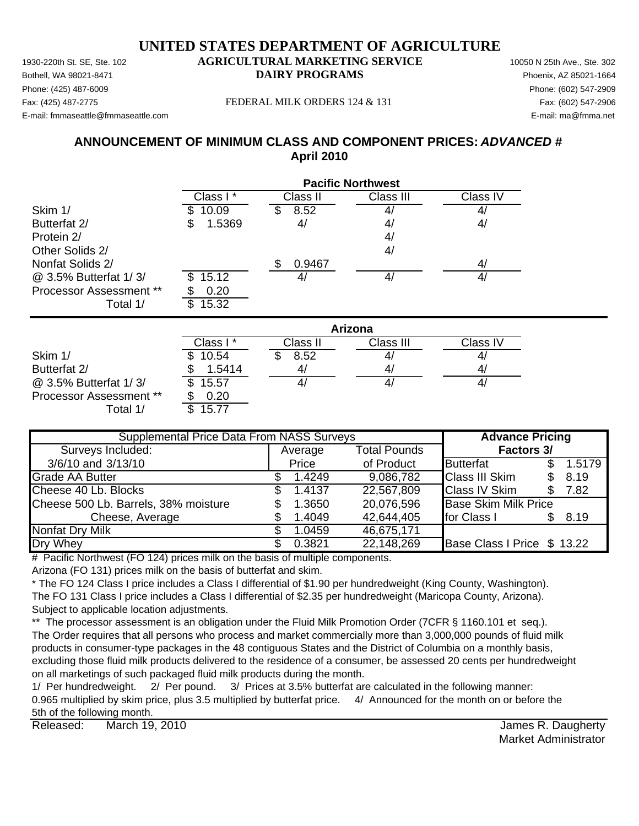Phone: (425) 487-6009 Phone: (602) 547-2909 E-mail: fmmaseattle@fmmaseattle.com E-mail: ma@fmma.net

### Fax: (425) 487-2775 FEDERAL MILK ORDERS 124 & 131 Fax: (602) 547-2906

# **ANNOUNCEMENT OF MINIMUM CLASS AND COMPONENT PRICES:** *ADVANCED #* **April 2010**

|                         |              |              | <b>Pacific Northwest</b> |          |
|-------------------------|--------------|--------------|--------------------------|----------|
|                         | Class I*     | Class II     | Class III                | Class IV |
| Skim 1/                 | 10.09<br>S   | 8.52<br>S    | 4,                       | 4/       |
| Butterfat 2/            | 1.5369<br>\$ | 4/           | 41                       | 4/       |
| Protein 2/              |              |              | 4/                       |          |
| Other Solids 2/         |              |              | 4/                       |          |
| Nonfat Solids 2/        |              | 0.9467<br>\$ |                          | 4/       |
| @ 3.5% Butterfat 1/3/   | 15.12<br>S   | 4/           | 4/                       | 4/       |
| Processor Assessment ** | 0.20         |              |                          |          |
| Total 1/                | \$<br>15.32  |              |                          |          |
|                         |              |              | <b>Arizona</b>           |          |
|                         | Class I*     | Class II     | Class III                | Class IV |
| Skim 1/                 | 10.54        | S<br>8.52    | $\mathcal{A}_{l}$        | 4/       |
| Butterfat 2/            | 1.5414       | 4/           | 4/                       | 4/       |
| @ 3.5% Butterfat 1/3/   | \$<br>15.57  | 4/           | 4/                       | 4/       |

Processor Assessment \*\* \$ 0.20 Total  $1/$ 

| <b>Supplemental Price Data From NASS Surveys</b> | <b>Advance Pricing</b> |                     |                             |  |        |
|--------------------------------------------------|------------------------|---------------------|-----------------------------|--|--------|
| Surveys Included:                                | Average                | <b>Total Pounds</b> | <b>Factors 3/</b>           |  |        |
| 3/6/10 and 3/13/10                               | Price                  | of Product          | Butterfat                   |  | 1.5179 |
| <b>Grade AA Butter</b>                           | 1.4249                 | 9,086,782           | <b>Class III Skim</b>       |  | 8.19   |
| Cheese 40 Lb. Blocks                             | 1.4137                 | 22,567,809          | <b>Class IV Skim</b>        |  | 7.82   |
| Cheese 500 Lb. Barrels, 38% moisture             | 1.3650                 | 20,076,596          | <b>Base Skim Milk Price</b> |  |        |
| Cheese, Average                                  | 1.4049                 | 42,644,405          | for Class I                 |  | 8.19   |
| Nonfat Dry Milk                                  | 1.0459                 | 46,675,171          |                             |  |        |
| Dry Whey                                         | 0.3821                 | 22,148,269          | Base Class I Price \$ 13.22 |  |        |

# Pacific Northwest (FO 124) prices milk on the basis of multiple components.

Arizona (FO 131) prices milk on the basis of butterfat and skim.

\* The FO 124 Class I price includes a Class I differential of \$1.90 per hundredweight (King County, Washington). The FO 131 Class I price includes a Class I differential of \$2.35 per hundredweight (Maricopa County, Arizona). Subject to applicable location adjustments.

\*\* The processor assessment is an obligation under the Fluid Milk Promotion Order (7CFR § 1160.101 et seq.). The Order requires that all persons who process and market commercially more than 3,000,000 pounds of fluid milk products in consumer-type packages in the 48 contiguous States and the District of Columbia on a monthly basis, excluding those fluid milk products delivered to the residence of a consumer, be assessed 20 cents per hundredweight on all marketings of such packaged fluid milk products during the month.

1/ Per hundredweight. 2/ Per pound. 3/ Prices at 3.5% butterfat are calculated in the following manner: 0.965 multiplied by skim price, plus 3.5 multiplied by butterfat price. 4/ Announced for the month on or before the 5th of the following month.

Released: March 19, 2010 **Contract Contract Contract Contract Contract Contract Contract Contract Contract Contract Contract Contract Contract Contract Contract Contract Contract Contract Contract Contract Contract Contrac** March 19, 2010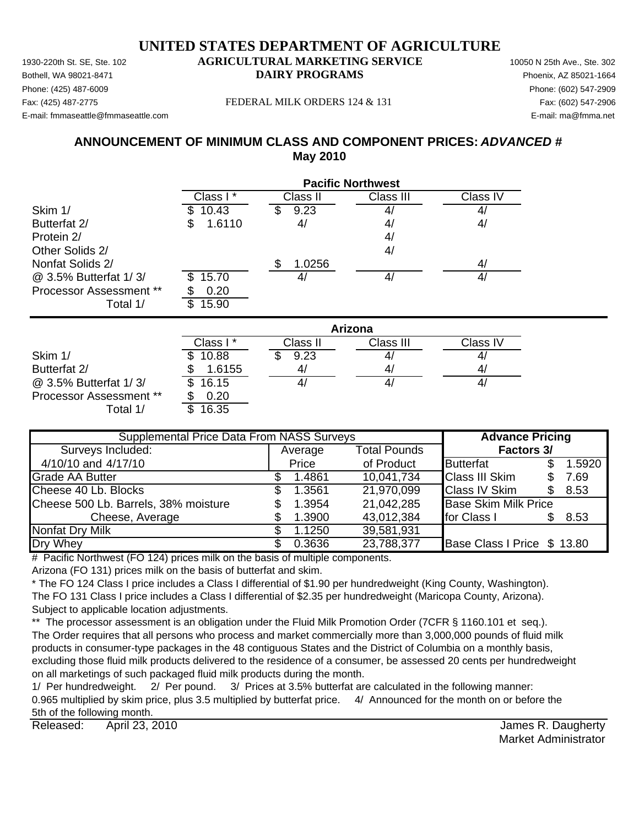Phone: (425) 487-6009 Phone: (602) 547-2909 E-mail: fmmaseattle@fmmaseattle.com E-mail: ma@fmma.net

### Fax: (425) 487-2775 FEDERAL MILK ORDERS 124 & 131 Fax: (602) 547-2906

# **ANNOUNCEMENT OF MINIMUM CLASS AND COMPONENT PRICES:** *ADVANCED #* **May 2010**

|                         | <b>Pacific Northwest</b> |                |                   |                |  |  |  |
|-------------------------|--------------------------|----------------|-------------------|----------------|--|--|--|
|                         | Class I*                 | Class II       | Class III         | Class IV       |  |  |  |
| Skim 1/                 | 10.43                    | 9.23<br>\$     | 4,                | 4/             |  |  |  |
| Butterfat 2/            | 1.6110<br>S              | 4/             | 4,                | 4/             |  |  |  |
| Protein 2/              |                          |                | 4,                |                |  |  |  |
| Other Solids 2/         |                          |                | 4 <sub>l</sub>    |                |  |  |  |
| Nonfat Solids 2/        |                          | 1.0256<br>\$   |                   | 4/             |  |  |  |
| @ 3.5% Butterfat 1/3/   | 15.70                    | 4/             | $\mathcal{A}_{l}$ | 4/             |  |  |  |
| Processor Assessment ** | 0.20                     |                |                   |                |  |  |  |
| Total 1/                | \$.<br>15.90             |                |                   |                |  |  |  |
|                         |                          |                | Arizona           |                |  |  |  |
|                         | Class I*                 | Class II       | Class III         | Class IV       |  |  |  |
| Skim 1/                 | 10.88                    | 9.23<br>S      | $\mathbf{A}_{l}$  | 4/             |  |  |  |
| D.44                    | $A$ $C$ $A$ $E$ $F$<br>ጦ | $\overline{A}$ | $\overline{ }$    | $\overline{A}$ |  |  |  |

|                                | Class I *    | Class II | Class III | Class IV     |
|--------------------------------|--------------|----------|-----------|--------------|
| Skim 1/                        | 10.88        | 9.23     | 4,        | 4,           |
| Butterfat 2/                   | 1.6155       |          | 4,        | $\mathbf{A}$ |
| @ 3.5% Butterfat 1/3/          | 16.15<br>SS. |          |           | 4,           |
| <b>Processor Assessment **</b> | 0.20         |          |           |              |
| Total 1/                       | 16.35        |          |           |              |

| <b>Supplemental Price Data From NASS Surveys</b> | <b>Advance Pricing</b> |         |                     |                             |        |
|--------------------------------------------------|------------------------|---------|---------------------|-----------------------------|--------|
| Surveys Included:                                |                        | Average | <b>Total Pounds</b> | <b>Factors 3/</b>           |        |
| 4/10/10 and 4/17/10                              |                        | Price   | of Product          | <b>Butterfat</b>            | 1.5920 |
| Grade AA Butter                                  |                        | 1.4861  | 10,041,734          | <b>Class III Skim</b>       | 7.69   |
| Cheese 40 Lb. Blocks                             | SS.                    | 1.3561  | 21,970,099          | <b>Class IV Skim</b>        | 8.53   |
| Cheese 500 Lb. Barrels, 38% moisture             |                        | 1.3954  | 21,042,285          | <b>Base Skim Milk Price</b> |        |
| Cheese, Average                                  |                        | 1.3900  | 43,012,384          | for Class I                 | 8.53   |
| <b>Nonfat Dry Milk</b>                           |                        | 1.1250  | 39,581,931          |                             |        |
| Dry Whey                                         |                        | 0.3636  | 23,788,377          | Base Class I Price \$ 13.80 |        |

# Pacific Northwest (FO 124) prices milk on the basis of multiple components.

Arizona (FO 131) prices milk on the basis of butterfat and skim.

\* The FO 124 Class I price includes a Class I differential of \$1.90 per hundredweight (King County, Washington). The FO 131 Class I price includes a Class I differential of \$2.35 per hundredweight (Maricopa County, Arizona). Subject to applicable location adjustments.

\*\* The processor assessment is an obligation under the Fluid Milk Promotion Order (7CFR § 1160.101 et seq.). The Order requires that all persons who process and market commercially more than 3,000,000 pounds of fluid milk products in consumer-type packages in the 48 contiguous States and the District of Columbia on a monthly basis, excluding those fluid milk products delivered to the residence of a consumer, be assessed 20 cents per hundredweight on all marketings of such packaged fluid milk products during the month.

1/ Per hundredweight. 2/ Per pound. 3/ Prices at 3.5% butterfat are calculated in the following manner: 0.965 multiplied by skim price, plus 3.5 multiplied by butterfat price. 4/ Announced for the month on or before the 5th of the following month.

Released: April 23, 2010 **Released:** April 23, 2010 April 23, 2010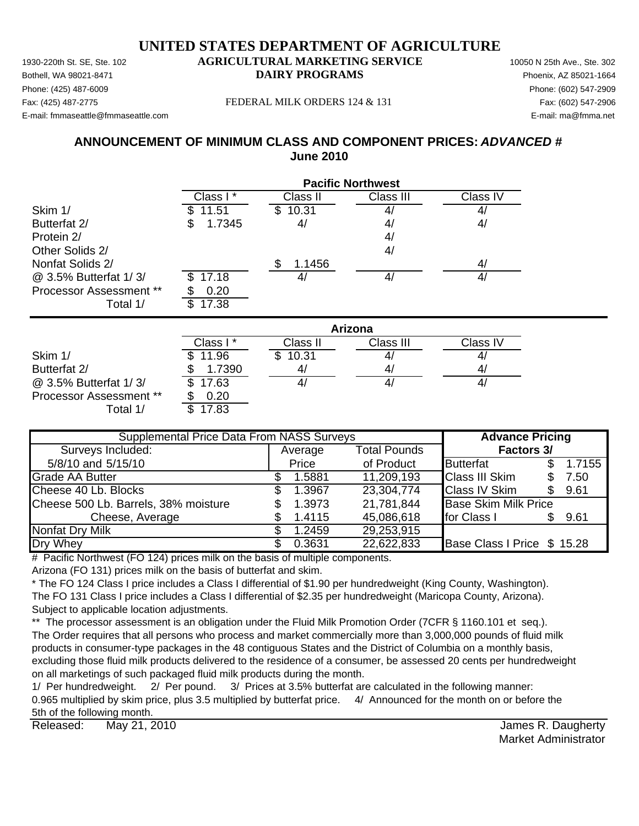Phone: (425) 487-6009 Phone: (602) 547-2909 E-mail: fmmaseattle@fmmaseattle.com E-mail: ma@fmma.net

### Fax: (425) 487-2775 FEDERAL MILK ORDERS 124 & 131 Fax: (602) 547-2906

# **ANNOUNCEMENT OF MINIMUM CLASS AND COMPONENT PRICES:** *ADVANCED #* **June 2010**

|                               | <b>Pacific Northwest</b> |                |                |           |  |  |  |
|-------------------------------|--------------------------|----------------|----------------|-----------|--|--|--|
|                               | Class I*                 | Class II       | Class III      | Class IV  |  |  |  |
| Skim 1/                       | 11.51                    | 10.31<br>S.    | 4,             | 4/        |  |  |  |
| Butterfat 2/                  | 1.7345<br>\$             | 4/             | 4/             | 4/        |  |  |  |
| Protein 2/                    |                          |                | 4 <sub>l</sub> |           |  |  |  |
| Other Solids 2/               |                          |                | 4/             |           |  |  |  |
| Nonfat Solids 2/              |                          | 1.1456<br>S    |                | 4/        |  |  |  |
| @ 3.5% Butterfat 1/3/         | 17.18<br>S               | 4/             | 4/             | 4/        |  |  |  |
| Processor Assessment **       | 0.20                     |                |                |           |  |  |  |
| Total 1/                      | 17.38<br>\$              |                |                |           |  |  |  |
|                               |                          |                | <b>Arizona</b> |           |  |  |  |
|                               | Class I*                 | Class II       | Class III      | Class IV  |  |  |  |
| Skim 1/                       | 11.96<br>\$              | 10.31<br>\$    | 4,             | 4/        |  |  |  |
| $D_1$ $H_2$ $f_2$ $f_1$ $f_2$ | 1.7200<br>œ              | $\overline{1}$ | $\overline{A}$ | $\Lambda$ |  |  |  |

|                                | Class I *    | Class II     | Class III | ⊖lass IV |
|--------------------------------|--------------|--------------|-----------|----------|
| Skim 1/                        | 11.96<br>\$. | 10.31<br>\$. |           | 4/       |
| Butterfat 2/                   | 1.7390       | 4/           | 47        | 4/       |
| @ 3.5% Butterfat 1/3/          | \$17.63      |              |           | 4,       |
| <b>Processor Assessment **</b> | 0.20         |              |           |          |
| Total 1/                       | .7.83<br>\$  |              |           |          |

| <b>Supplemental Price Data From NASS Surveys</b> |  |         |                     | <b>Advance Pricing</b>      |  |        |
|--------------------------------------------------|--|---------|---------------------|-----------------------------|--|--------|
| Surveys Included:                                |  | Average | <b>Total Pounds</b> | Factors 3/                  |  |        |
| 5/8/10 and 5/15/10                               |  | Price   | of Product          | <b>Butterfat</b>            |  | 1.7155 |
| <b>Grade AA Butter</b>                           |  | 1.5881  | 11,209,193          | <b>Class III Skim</b>       |  | 7.50   |
| Cheese 40 Lb. Blocks                             |  | 1.3967  | 23,304,774          | <b>Class IV Skim</b>        |  | 9.61   |
| Cheese 500 Lb. Barrels, 38% moisture             |  | 1.3973  | 21,781,844          | <b>Base Skim Milk Price</b> |  |        |
| Cheese, Average                                  |  | 1.4115  | 45,086,618          | for Class I                 |  | 9.61   |
| Nonfat Dry Milk                                  |  | 1.2459  | 29,253,915          |                             |  |        |
| Dry Whey                                         |  | 0.3631  | 22,622,833          | Base Class I Price \$ 15.28 |  |        |

 $#$  Pacific Northwest (FO 124) prices milk on the basis of multiple components.

Arizona (FO 131) prices milk on the basis of butterfat and skim.

\* The FO 124 Class I price includes a Class I differential of \$1.90 per hundredweight (King County, Washington). The FO 131 Class I price includes a Class I differential of \$2.35 per hundredweight (Maricopa County, Arizona). Subject to applicable location adjustments.

\*\* The processor assessment is an obligation under the Fluid Milk Promotion Order (7CFR § 1160.101 et seq.). The Order requires that all persons who process and market commercially more than 3,000,000 pounds of fluid milk products in consumer-type packages in the 48 contiguous States and the District of Columbia on a monthly basis, excluding those fluid milk products delivered to the residence of a consumer, be assessed 20 cents per hundredweight on all marketings of such packaged fluid milk products during the month.

1/ Per hundredweight. 2/ Per pound. 3/ Prices at 3.5% butterfat are calculated in the following manner: 0.965 multiplied by skim price, plus 3.5 multiplied by butterfat price. 4/ Announced for the month on or before the 5th of the following month.

Released: May 21, 2010 **Released:** May 21, 2010 May 21, 2010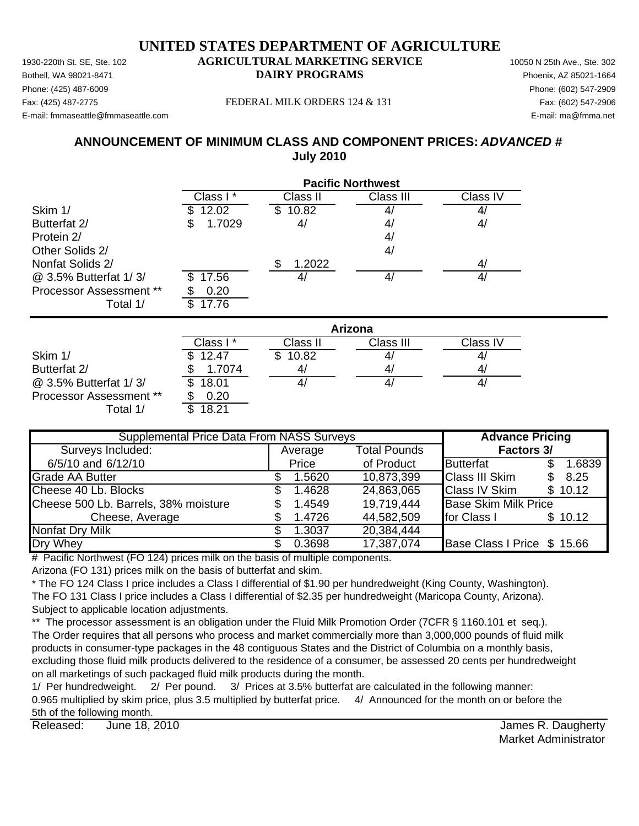Phone: (425) 487-6009 Phone: (602) 547-2909 E-mail: fmmaseattle@fmmaseattle.com E-mail: ma@fmma.net

#### Fax: (425) 487-2775 FEDERAL MILK ORDERS 124 & 131 Fax: (602) 547-2906

# **ANNOUNCEMENT OF MINIMUM CLASS AND COMPONENT PRICES:** *ADVANCED #* **July 2010**

|                         | <b>Pacific Northwest</b> |                |                |                |  |
|-------------------------|--------------------------|----------------|----------------|----------------|--|
|                         | Class I*                 | Class II       | Class III      | Class IV       |  |
| Skim 1/                 | 12.02                    | 10.82<br>SS    | 4              | 4/             |  |
| Butterfat 2/            | 1.7029<br>\$             | 4/             | 4,             | 4/             |  |
| Protein 2/              |                          |                | 4 <sub>l</sub> |                |  |
| Other Solids 2/         |                          |                | 4/             |                |  |
| Nonfat Solids 2/        |                          | 1.2022<br>S    |                | 4/             |  |
| @ 3.5% Butterfat 1/3/   | 17.56<br>\$.             | 4/             | 4/             | 4/             |  |
| Processor Assessment ** | 0.20                     |                |                |                |  |
| Total 1/                | \$.<br>17.76             |                |                |                |  |
|                         |                          |                | <b>Arizona</b> |                |  |
|                         | Class I*                 | Class II       | Class III      | Class IV       |  |
| Skim 1/                 | 12.47                    | 10.82<br>\$.   | 4,             | 4/             |  |
| D.44                    | 4.7074<br>ጦ              | $\overline{ }$ | $\overline{A}$ | $\overline{A}$ |  |

|                                | Ulass I | Ulass II | UldSS III | Ulass IV |
|--------------------------------|---------|----------|-----------|----------|
| Skim 1/                        | \$12.47 | 10.82    | 41        |          |
| Butterfat 2/                   | 1.7074  | 4,       | 4,        |          |
| @ 3.5% Butterfat 1/3/          | \$18.01 | 4,       | 4,        |          |
| <b>Processor Assessment **</b> | 0.20    |          |           |          |
| Total 1/                       | 18.21   |          |           |          |

| <b>Supplemental Price Data From NASS Surveys</b> |     |         |                     | <b>Advance Pricing</b>      |     |         |
|--------------------------------------------------|-----|---------|---------------------|-----------------------------|-----|---------|
| Surveys Included:                                |     | Average | <b>Total Pounds</b> | Factors 3/                  |     |         |
| 6/5/10 and 6/12/10                               |     | Price   | of Product          | <b>Butterfat</b>            |     | 1.6839  |
| Grade AA Butter                                  |     | 1.5620  | 10,873,399          | <b>Class III Skim</b>       | \$. | 8.25    |
| Cheese 40 Lb. Blocks                             | SS. | 1.4628  | 24,863,065          | <b>Class IV Skim</b>        |     | \$10.12 |
| Cheese 500 Lb. Barrels, 38% moisture             |     | 1.4549  | 19,719,444          | <b>Base Skim Milk Price</b> |     |         |
| Cheese, Average                                  |     | 1.4726  | 44,582,509          | for Class I                 |     | \$10.12 |
| <b>Nonfat Dry Milk</b>                           |     | 1.3037  | 20,384,444          |                             |     |         |
| Dry Whey                                         |     | 0.3698  | 17,387,074          | Base Class I Price \$ 15.66 |     |         |

 $#$  Pacific Northwest (FO 124) prices milk on the basis of multiple components.

Arizona (FO 131) prices milk on the basis of butterfat and skim.

\* The FO 124 Class I price includes a Class I differential of \$1.90 per hundredweight (King County, Washington). The FO 131 Class I price includes a Class I differential of \$2.35 per hundredweight (Maricopa County, Arizona). Subject to applicable location adjustments.

\*\* The processor assessment is an obligation under the Fluid Milk Promotion Order (7CFR § 1160.101 et seq.). The Order requires that all persons who process and market commercially more than 3,000,000 pounds of fluid milk products in consumer-type packages in the 48 contiguous States and the District of Columbia on a monthly basis, excluding those fluid milk products delivered to the residence of a consumer, be assessed 20 cents per hundredweight on all marketings of such packaged fluid milk products during the month.

1/ Per hundredweight. 2/ Per pound. 3/ Prices at 3.5% butterfat are calculated in the following manner: 0.965 multiplied by skim price, plus 3.5 multiplied by butterfat price. 4/ Announced for the month on or before the 5th of the following month.

Released: James R. Daugherty June 18, 2010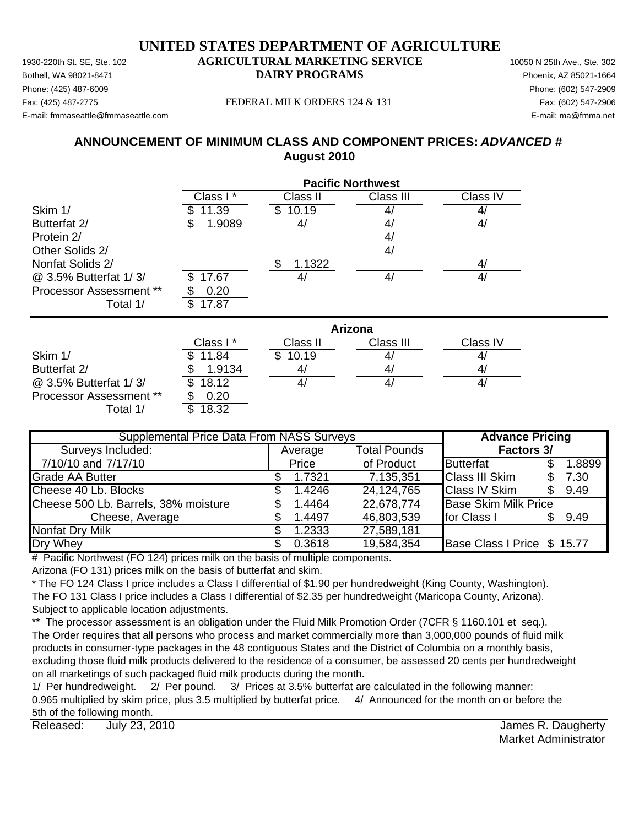Phone: (425) 487-6009 Phone: (602) 547-2909 E-mail: fmmaseattle@fmmaseattle.com E-mail: ma@fmma.net

### Fax: (425) 487-2775 FEDERAL MILK ORDERS 124 & 131 Fax: (602) 547-2906

# **ANNOUNCEMENT OF MINIMUM CLASS AND COMPONENT PRICES:** *ADVANCED #* **August 2010**

|                         | <b>Pacific Northwest</b> |              |                |          |  |
|-------------------------|--------------------------|--------------|----------------|----------|--|
|                         | Class I*                 | Class II     | Class III      | Class IV |  |
| Skim 1/                 | 11.39                    | 10.19        |                |          |  |
| Butterfat 2/            | 1.9089<br>S              | 4/           | 41             | 4/       |  |
| Protein 2/              |                          |              | 4/             |          |  |
| Other Solids 2/         |                          |              | 4/             |          |  |
| Nonfat Solids 2/        |                          | 1.1322<br>\$ |                | 4/       |  |
| @ 3.5% Butterfat 1/3/   | 17.67                    | 4/           | 4 <sub>l</sub> | 4/       |  |
| Processor Assessment ** | 0.20                     |              |                |          |  |
| Total 1/                | 17.87<br>\$.             |              |                |          |  |
|                         |                          |              | Arizona        |          |  |
|                         | Class I*                 | Class II     | Class III      | Class IV |  |
| Skim 1/                 | 11.84                    | 10.19<br>Ж.  |                | 4,       |  |
| Butterfat 2/            | 1.9134                   | 4/           | 41             | 4/       |  |

| Butterfat 2/            | 1.9134         | 4  |    |
|-------------------------|----------------|----|----|
| @ 3.5% Butterfat 1/3/   | \$18.12        | 4. | 4/ |
| Processor Assessment ** | 0.20           |    |    |
| T - 1 - 1 4 <b>1</b>    | <b>ര ചററ</b> റ |    |    |

 $0.20$ Total 1/ \$ 18.32

| <b>Supplemental Price Data From NASS Surveys</b> | <b>Advance Pricing</b> |         |                     |                             |     |        |
|--------------------------------------------------|------------------------|---------|---------------------|-----------------------------|-----|--------|
| Surveys Included:                                |                        | Average | <b>Total Pounds</b> | <b>Factors 3/</b>           |     |        |
| 7/10/10 and 7/17/10                              |                        | Price   | of Product          | <b>Butterfat</b>            |     | 1.8899 |
| <b>Grade AA Butter</b>                           |                        | 1.7321  | 7,135,351           | <b>Class III Skim</b>       | \$. | 7.30   |
| Cheese 40 Lb. Blocks                             | SS.                    | 1.4246  | 24,124,765          | <b>Class IV Skim</b>        | \$. | 9.49   |
| Cheese 500 Lb. Barrels, 38% moisture             |                        | 1.4464  | 22,678,774          | <b>Base Skim Milk Price</b> |     |        |
| Cheese, Average                                  |                        | 1.4497  | 46,803,539          | for Class I                 |     | 9.49   |
| Nonfat Dry Milk                                  |                        | 1.2333  | 27,589,181          |                             |     |        |
| Dry Whey                                         |                        | 0.3618  | 19,584,354          | Base Class I Price \$ 15.77 |     |        |

 $#$  Pacific Northwest (FO 124) prices milk on the basis of multiple components.

Arizona (FO 131) prices milk on the basis of butterfat and skim.

\* The FO 124 Class I price includes a Class I differential of \$1.90 per hundredweight (King County, Washington). The FO 131 Class I price includes a Class I differential of \$2.35 per hundredweight (Maricopa County, Arizona). Subject to applicable location adjustments.

\*\* The processor assessment is an obligation under the Fluid Milk Promotion Order (7CFR § 1160.101 et seq.). The Order requires that all persons who process and market commercially more than 3,000,000 pounds of fluid milk products in consumer-type packages in the 48 contiguous States and the District of Columbia on a monthly basis, excluding those fluid milk products delivered to the residence of a consumer, be assessed 20 cents per hundredweight on all marketings of such packaged fluid milk products during the month.

1/ Per hundredweight. 2/ Per pound. 3/ Prices at 3.5% butterfat are calculated in the following manner: 0.965 multiplied by skim price, plus 3.5 multiplied by butterfat price. 4/ Announced for the month on or before the 5th of the following month.

Released: July 23, 2010 **Released:** July 23, 2010 July 23, 2010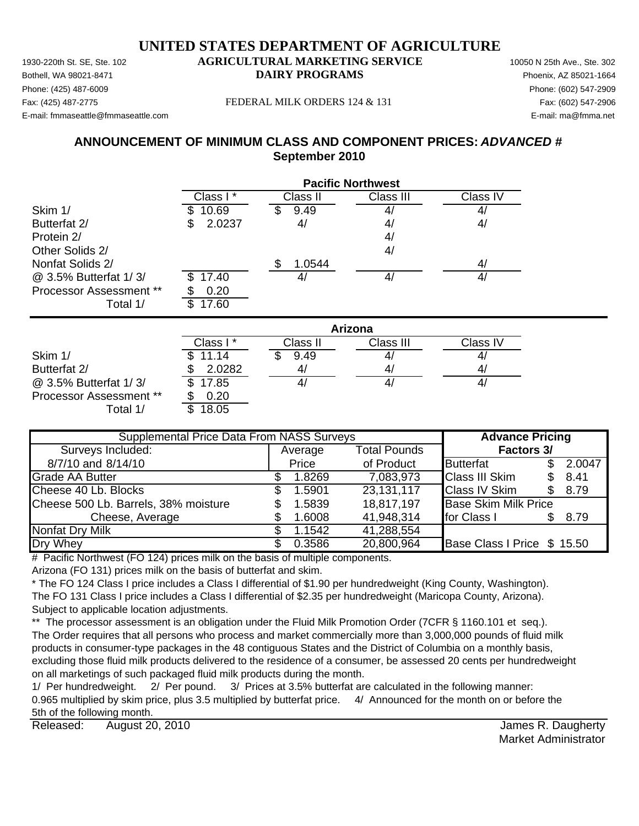Phone: (425) 487-6009 Phone: (602) 547-2909 E-mail: fmmaseattle@fmmaseattle.com E-mail: ma@fmma.net

### Fax: (425) 487-2775 FEDERAL MILK ORDERS 124 & 131 Fax: (602) 547-2906

# **ANNOUNCEMENT OF MINIMUM CLASS AND COMPONENT PRICES:** *ADVANCED #* **September 2010**

|                         | <b>Pacific Northwest</b> |              |                |                   |  |
|-------------------------|--------------------------|--------------|----------------|-------------------|--|
|                         | Class I*                 | Class II     | Class III      | Class IV          |  |
| Skim 1/                 | 10.69                    | 9.49<br>S    |                | $\mathbf{4}$      |  |
| Butterfat 2/            | 2.0237<br>\$             | 4/           | 4 <sub>l</sub> | 4/                |  |
| Protein 2/              |                          |              | 4 <sub>l</sub> |                   |  |
| Other Solids 2/         |                          |              | 4/             |                   |  |
| Nonfat Solids 2/        |                          | \$<br>1.0544 |                | 4/                |  |
| @ 3.5% Butterfat 1/3/   | 17.40                    | 4/           | 4/             | 4/                |  |
| Processor Assessment ** | 0.20                     |              |                |                   |  |
| Total 1/                | 17.60<br>\$              |              |                |                   |  |
|                         |                          |              | Arizona        |                   |  |
|                         | Class I*                 | Class II     | Class III      | Class IV          |  |
| Skim 1/                 | 11.14                    | 9.49<br>S    | 4              | $\mathcal{A}_{l}$ |  |
| Butterfat 2/            | 2.0282<br>3              | 4/           | 4/             | 4/                |  |

 $\omega$  3.5% Butterfat 1/3/  $\sqrt{3}$  17.85  $\sqrt{4/1}$  4/  $\sqrt{4/1}$  4/ Processor Assessment \*\* \$ 0.20 Total  $1/$   $\overline{\phantom{1}3.05}$ 

Average Total Pounds 8/7/10 and 8/14/10 **butter and 8/14/10 Price butterfat 5** 2.0047 Grade AA Butter 1.8269 \$ 7,083,973 Class III Skim 8.41 \$ Cheese 40 Lb. Blocks \$ 1.5901 23,131,117 Class IV Skim \$ 8.79 Cheese 500 Lb. Barrels, 38% moisture  $\qquad \qquad$  \$ 1.5839 18,817,197 Base Skim Milk Price Cheese, Average  $$ 1.6008$   $41,948,314$  for Class I  $$ 8.79$ Nonfat Dry Milk  $$ 1.1542 41,288,554$ Dry Whey **6.2016 120.800,000 \$ 20,800,964** Base Class I Price \$ 15.50 **Supplemental Price Data From NASS Surveys The Advance Pricing** Surveys Included: **Factors 3/**

# Pacific Northwest (FO 124) prices milk on the basis of multiple components.

Arizona (FO 131) prices milk on the basis of butterfat and skim.

\* The FO 124 Class I price includes a Class I differential of \$1.90 per hundredweight (King County, Washington). The FO 131 Class I price includes a Class I differential of \$2.35 per hundredweight (Maricopa County, Arizona). Subject to applicable location adjustments.

\*\* The processor assessment is an obligation under the Fluid Milk Promotion Order (7CFR § 1160.101 et seq.). The Order requires that all persons who process and market commercially more than 3,000,000 pounds of fluid milk products in consumer-type packages in the 48 contiguous States and the District of Columbia on a monthly basis, excluding those fluid milk products delivered to the residence of a consumer, be assessed 20 cents per hundredweight on all marketings of such packaged fluid milk products during the month.

1/ Per hundredweight. 2/ Per pound. 3/ Prices at 3.5% butterfat are calculated in the following manner: 0.965 multiplied by skim price, plus 3.5 multiplied by butterfat price. 4/ Announced for the month on or before the 5th of the following month.

Released: August 20, 2010 **August 20, 2010 August 20, 2010 August 20, 2010 August 20, 2010** August 20, 2010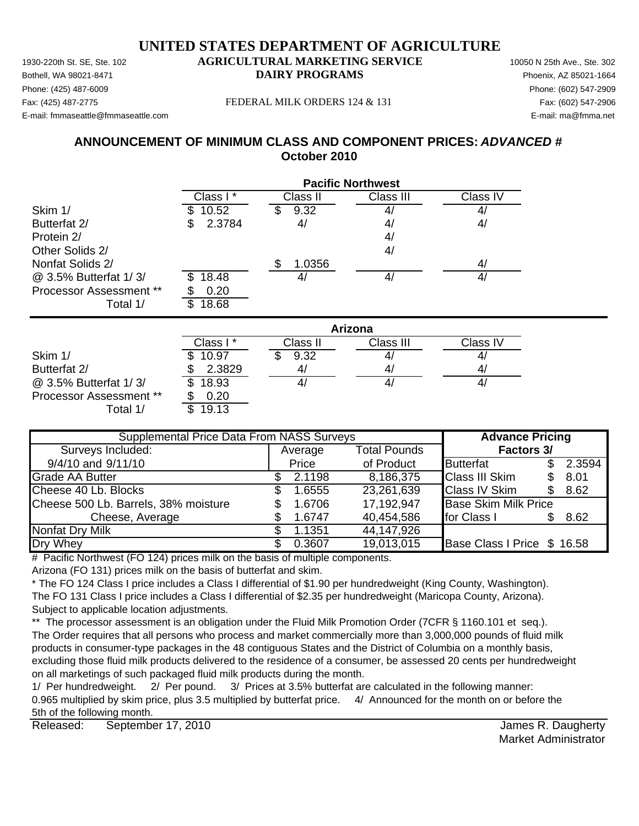Phone: (425) 487-6009 Phone: (602) 547-2909 E-mail: fmmaseattle@fmmaseattle.com E-mail: ma@fmma.net

### Fax: (425) 487-2775 FEDERAL MILK ORDERS 124 & 131 Fax: (602) 547-2906

# **ANNOUNCEMENT OF MINIMUM CLASS AND COMPONENT PRICES:** *ADVANCED #* **October 2010**

|                         | <b>Pacific Northwest</b> |              |           |          |  |  |
|-------------------------|--------------------------|--------------|-----------|----------|--|--|
|                         | Class I*                 | Class II     | Class III | Class IV |  |  |
| Skim 1/                 | 10.52<br>\$              | 9.32<br>S    | 4         | 4        |  |  |
| Butterfat 2/            | 2.3784<br>\$             | 4/           | 4/        | 4/       |  |  |
| Protein 2/              |                          |              | 41        |          |  |  |
| Other Solids 2/         |                          |              | 4/        |          |  |  |
| Nonfat Solids 2/        |                          | \$<br>1.0356 |           | 4/       |  |  |
| @ 3.5% Butterfat 1/3/   | 18.48<br>\$.             | 4/           | 4/        | 4/       |  |  |
| Processor Assessment ** | 0.20                     |              |           |          |  |  |
| Total 1/                | \$<br>18.68              |              |           |          |  |  |
|                         | Arizona                  |              |           |          |  |  |
|                         | Class I*                 | Class II     | Class III | Class IV |  |  |
| Skim 1/                 | 10.97<br>\$              | 9.32         | 4/        | 4/       |  |  |

|                                | Class I *    | Class II | Class III | Class IV     |
|--------------------------------|--------------|----------|-----------|--------------|
| Skim 1/                        | 10.97        | 9.32     | 4,        | 4,           |
| Butterfat 2/                   | 2.3829       |          | 4,        | $\mathbf{A}$ |
| @ 3.5% Butterfat 1/3/          | 18.93<br>SS. |          | 4,        | 4,           |
| <b>Processor Assessment **</b> | 0.20         |          |           |              |
| Total 1/                       | 19.13        |          |           |              |

| <b>Supplemental Price Data From NASS Surveys</b> |  |         |                     | <b>Advance Pricing</b>      |  |        |
|--------------------------------------------------|--|---------|---------------------|-----------------------------|--|--------|
| Surveys Included:                                |  | Average | <b>Total Pounds</b> | Factors 3/                  |  |        |
| 9/4/10 and 9/11/10                               |  | Price   | of Product          | <b>Butterfat</b>            |  | 2.3594 |
| Grade AA Butter                                  |  | 2.1198  | 8,186,375           | <b>Class III Skim</b>       |  | 8.01   |
| Cheese 40 Lb. Blocks                             |  | 1.6555  | 23,261,639          | <b>Class IV Skim</b>        |  | 8.62   |
| Cheese 500 Lb. Barrels, 38% moisture             |  | 1.6706  | 17,192,947          | <b>Base Skim Milk Price</b> |  |        |
| Cheese, Average                                  |  | 1.6747  | 40,454,586          | for Class I                 |  | 8.62   |
| <b>Nonfat Dry Milk</b>                           |  | 1.1351  | 44,147,926          |                             |  |        |
| Dry Whey                                         |  | 0.3607  | 19,013,015          | Base Class I Price \$ 16.58 |  |        |

# Pacific Northwest (FO 124) prices milk on the basis of multiple components.

Arizona (FO 131) prices milk on the basis of butterfat and skim.

\* The FO 124 Class I price includes a Class I differential of \$1.90 per hundredweight (King County, Washington). The FO 131 Class I price includes a Class I differential of \$2.35 per hundredweight (Maricopa County, Arizona). Subject to applicable location adjustments.

\*\* The processor assessment is an obligation under the Fluid Milk Promotion Order (7CFR § 1160.101 et seq.). The Order requires that all persons who process and market commercially more than 3,000,000 pounds of fluid milk products in consumer-type packages in the 48 contiguous States and the District of Columbia on a monthly basis, excluding those fluid milk products delivered to the residence of a consumer, be assessed 20 cents per hundredweight on all marketings of such packaged fluid milk products during the month.

1/ Per hundredweight. 2/ Per pound. 3/ Prices at 3.5% butterfat are calculated in the following manner: 0.965 multiplied by skim price, plus 3.5 multiplied by butterfat price. 4/ Announced for the month on or before the 5th of the following month.

Released: September 17, 2010 **September 17, 2010** September 17, 2010 September 17, 2010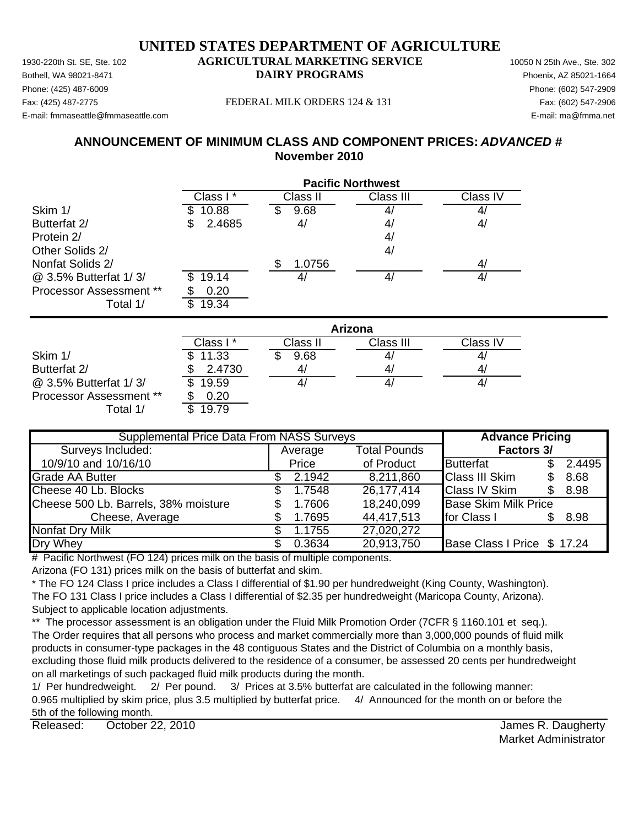Phone: (425) 487-6009 Phone: (602) 547-2909 E-mail: fmmaseattle@fmmaseattle.com E-mail: ma@fmma.net

### Fax: (425) 487-2775 FEDERAL MILK ORDERS 124 & 131 Fax: (602) 547-2906

# **ANNOUNCEMENT OF MINIMUM CLASS AND COMPONENT PRICES:** *ADVANCED #* **November 2010**

|                         | <b>Pacific Northwest</b> |                |                |                |  |  |  |
|-------------------------|--------------------------|----------------|----------------|----------------|--|--|--|
|                         | Class I*                 | Class II       | Class III      | Class IV       |  |  |  |
| Skim 1/                 | 10.88                    | 9.68<br>Ъ      |                | 4              |  |  |  |
| Butterfat 2/            | 2.4685<br>\$             | 4/             | 4/             | 4/             |  |  |  |
| Protein 2/              |                          |                | 4/             |                |  |  |  |
| Other Solids 2/         |                          |                | 4/             |                |  |  |  |
| Nonfat Solids 2/        |                          | 1.0756<br>\$   |                | 4/             |  |  |  |
| @ 3.5% Butterfat 1/3/   | 19.14<br>S.              | 4/             | 4/             | 4/             |  |  |  |
| Processor Assessment ** | 0.20                     |                |                |                |  |  |  |
| Total 1/                | 19.34<br>\$              |                |                |                |  |  |  |
|                         | Arizona                  |                |                |                |  |  |  |
|                         | Class I*                 | Class II       | Class III      | Class IV       |  |  |  |
| Skim 1/                 | 11.33                    | 9.68           |                | 4,             |  |  |  |
| $P_{1}$ $(1 - 1 - 1)$   | 0.1700                   | $\overline{A}$ | $\overline{ }$ | $\overline{ }$ |  |  |  |

|                                | Class I *    | Class II | Class III | Class IV       |
|--------------------------------|--------------|----------|-----------|----------------|
| Skim 1/                        | \$11.33      | 9.68     |           | 4              |
| Butterfat 2/                   | 2.4730       |          | 4         | $\mathbf{A}_i$ |
| @ 3.5% Butterfat 1/3/          | 19.59<br>\$. |          | 4,        | 4,             |
| <b>Processor Assessment **</b> | 0.20         |          |           |                |
| ⊺otal 1/                       | 19.79        |          |           |                |

| <b>Supplemental Price Data From NASS Surveys</b> | <b>Advance Pricing</b> |        |                     |                             |  |        |
|--------------------------------------------------|------------------------|--------|---------------------|-----------------------------|--|--------|
| Surveys Included:                                | Average                |        | <b>Total Pounds</b> | <b>Factors 3/</b>           |  |        |
| 10/9/10 and 10/16/10                             |                        | Price  | of Product          | <b>Butterfat</b>            |  | 2.4495 |
| <b>Grade AA Butter</b>                           |                        | 2.1942 | 8,211,860           | <b>Class III Skim</b>       |  | 8.68   |
| Cheese 40 Lb. Blocks                             |                        | 1.7548 | 26,177,414          | <b>Class IV Skim</b>        |  | 8.98   |
| Cheese 500 Lb. Barrels, 38% moisture             |                        | 1.7606 | 18,240,099          | <b>Base Skim Milk Price</b> |  |        |
| Cheese, Average                                  |                        | 1.7695 | 44,417,513          | for Class I                 |  | 8.98   |
| Nonfat Dry Milk                                  |                        | 1.1755 | 27,020,272          |                             |  |        |
| Dry Whey                                         |                        | 0.3634 | 20,913,750          | Base Class I Price \$ 17.24 |  |        |

 $#$  Pacific Northwest (FO 124) prices milk on the basis of multiple components.

Arizona (FO 131) prices milk on the basis of butterfat and skim.

\* The FO 124 Class I price includes a Class I differential of \$1.90 per hundredweight (King County, Washington). The FO 131 Class I price includes a Class I differential of \$2.35 per hundredweight (Maricopa County, Arizona). Subject to applicable location adjustments.

\*\* The processor assessment is an obligation under the Fluid Milk Promotion Order (7CFR § 1160.101 et seq.). The Order requires that all persons who process and market commercially more than 3,000,000 pounds of fluid milk products in consumer-type packages in the 48 contiguous States and the District of Columbia on a monthly basis, excluding those fluid milk products delivered to the residence of a consumer, be assessed 20 cents per hundredweight on all marketings of such packaged fluid milk products during the month.

1/ Per hundredweight. 2/ Per pound. 3/ Prices at 3.5% butterfat are calculated in the following manner: 0.965 multiplied by skim price, plus 3.5 multiplied by butterfat price. 4/ Announced for the month on or before the 5th of the following month.

Released: October 22, 2010 **Building and Contract Contract Contract Contract Contract Contract Contract Contract Contract Contract Contract Contract Contract Contract Contract Contract Contract Contract Contract Contract C** October 22, 2010